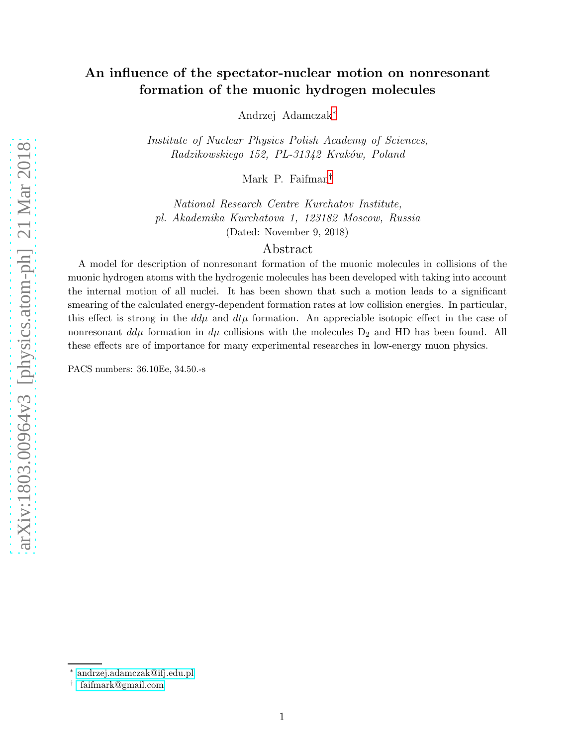# An influence of the spectator-nuclear motion on nonresonant formation of the muonic hydrogen molecules

Andrzej Adamczak[∗](#page-0-0)

Institute of Nuclear Physics Polish Academy of Sciences, Radzikowskiego 152, PL-31342 Kraków, Poland

Mark P. Faifman[†](#page-0-1)

National Research Centre Kurchatov Institute, pl. Akademika Kurchatova 1, 123182 Moscow, Russia (Dated: November 9, 2018)

## Abstract

A model for description of nonresonant formation of the muonic molecules in collisions of the muonic hydrogen atoms with the hydrogenic molecules has been developed with taking into account the internal motion of all nuclei. It has been shown that such a motion leads to a significant smearing of the calculated energy-dependent formation rates at low collision energies. In particular, this effect is strong in the  $dd\mu$  and  $dt\mu$  formation. An appreciable isotopic effect in the case of nonresonant  $d\mu$  formation in  $d\mu$  collisions with the molecules  $D_2$  and HD has been found. All these effects are of importance for many experimental researches in low-energy muon physics.

PACS numbers: 36.10Ee, 34.50.-s

<span id="page-0-0"></span><sup>∗</sup> [andrzej.adamczak@ifj.edu.pl](mailto:andrzej.adamczak@ifj.edu.pl)

<span id="page-0-1"></span><sup>†</sup> [faifmark@gmail.com](mailto: faifmark@gmail.com)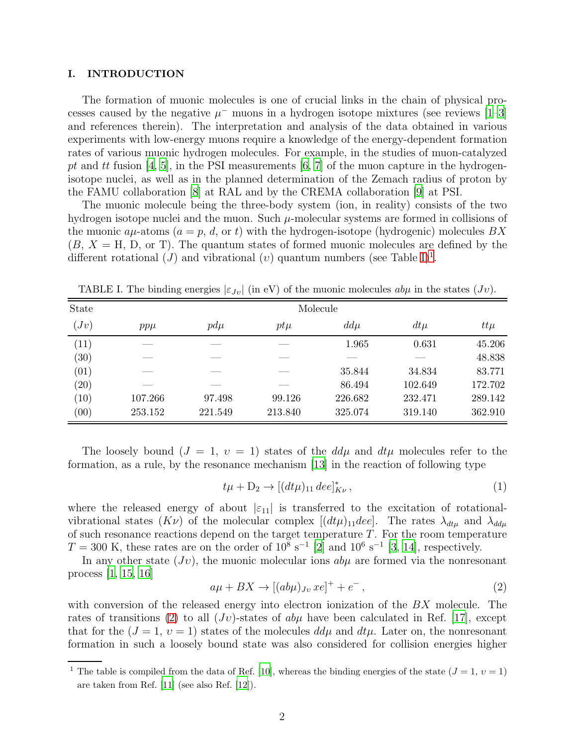#### I. INTRODUCTION

The formation of muonic molecules is one of crucial links in the chain of physical processes caused by the negative  $\mu^-$  muons in a hydrogen isotope mixtures (see reviews [\[1](#page-20-0)[–3\]](#page-20-1) and references therein). The interpretation and analysis of the data obtained in various experiments with low-energy muons require a knowledge of the energy-dependent formation rates of various muonic hydrogen molecules. For example, in the studies of muon-catalyzed pt and tt fusion [\[4,](#page-20-2) [5](#page-20-3)], in the PSI measurements [\[6](#page-20-4), [7](#page-20-5)] of the muon capture in the hydrogenisotope nuclei, as well as in the planned determination of the Zemach radius of proton by the FAMU collaboration [\[8](#page-20-6)] at RAL and by the CREMA collaboration [\[9\]](#page-20-7) at PSI.

The muonic molecule being the three-body system (ion, in reality) consists of the two hydrogen isotope nuclei and the muon. Such  $\mu$ -molecular systems are formed in collisions of the muonic  $a\mu$ -atoms  $(a = p, d, \text{ or } t)$  with the hydrogen-isotope (hydrogenic) molecules  $BX$  $(B, X = H, D, \text{or } T)$ . The quantum states of formed muonic molecules are defined by the different rotational  $(J)$  and vibrational  $(v)$  quantum numbers (see Table [I\)](#page-1-0)<sup>[1](#page-1-1)</sup>.

| State |         |          |         | Molecule |         |         |  |  |
|-------|---------|----------|---------|----------|---------|---------|--|--|
| (Jv)  | $pp\mu$ | $p d\mu$ | $pt\mu$ | $dd\mu$  | $dt\mu$ | $tt\mu$ |  |  |
| (11)  |         |          |         | 1.965    | 0.631   | 45.206  |  |  |
| (30)  |         |          |         |          |         | 48.838  |  |  |
| (01)  |         |          |         | 35.844   | 34.834  | 83.771  |  |  |
| (20)  |         |          |         | 86.494   | 102.649 | 172.702 |  |  |
| (10)  | 107.266 | 97.498   | 99.126  | 226.682  | 232.471 | 289.142 |  |  |
| (00)  | 253.152 | 221.549  | 213.840 | 325.074  | 319.140 | 362.910 |  |  |

<span id="page-1-0"></span>TABLE I. The binding energies  $|\varepsilon_{Jv}|$  (in eV) of the muonic molecules  $ab\mu$  in the states  $(Jv)$ .

The loosely bound  $(J = 1, v = 1)$  states of the  $dd\mu$  and  $dt\mu$  molecules refer to the formation, as a rule, by the resonance mechanism [\[13\]](#page-21-0) in the reaction of following type

$$
t\mu + D_2 \to [(dt\mu)_{11} \, dee]_{K\nu}^*,\tag{1}
$$

where the released energy of about  $|\epsilon_{11}|$  is transferred to the excitation of rotationalvibrational states  $(K\nu)$  of the molecular complex  $[(dt\mu)_{11}$ dee]. The rates  $\lambda_{dt\mu}$  and  $\lambda_{dd\mu}$ of such resonance reactions depend on the target temperature  $T$ . For the room temperature  $T = 300$  K, these rates are on the order of  $10^8$  s<sup>-1</sup> [\[2\]](#page-20-8) and  $10^6$  s<sup>-1</sup> [\[3,](#page-20-1) [14\]](#page-21-1), respectively.

In any other state  $(Jv)$ , the muonic molecular ions  $ab\mu$  are formed via the nonresonant process [\[1,](#page-20-0) [15,](#page-21-2) [16\]](#page-21-3)

<span id="page-1-2"></span>
$$
a\mu + BX \to [(ab\mu)_{Jv} \, xe]^+ + e^-, \tag{2}
$$

with conversion of the released energy into electron ionization of the BX molecule. The rates of transitions [\(2\)](#page-1-2) to all  $(Jv)$ -states of  $ab\mu$  have been calculated in Ref. [\[17\]](#page-21-4), except that for the  $(J = 1, v = 1)$  states of the molecules  $d d\mu$  and  $d t\mu$ . Later on, the nonresonant formation in such a loosely bound state was also considered for collision energies higher

<span id="page-1-1"></span><sup>&</sup>lt;sup>1</sup> The table is compiled from the data of Ref. [\[10\]](#page-20-9), whereas the binding energies of the state  $(J = 1, v = 1)$ are taken from Ref. [\[11\]](#page-20-10) (see also Ref. [\[12\]](#page-21-5)).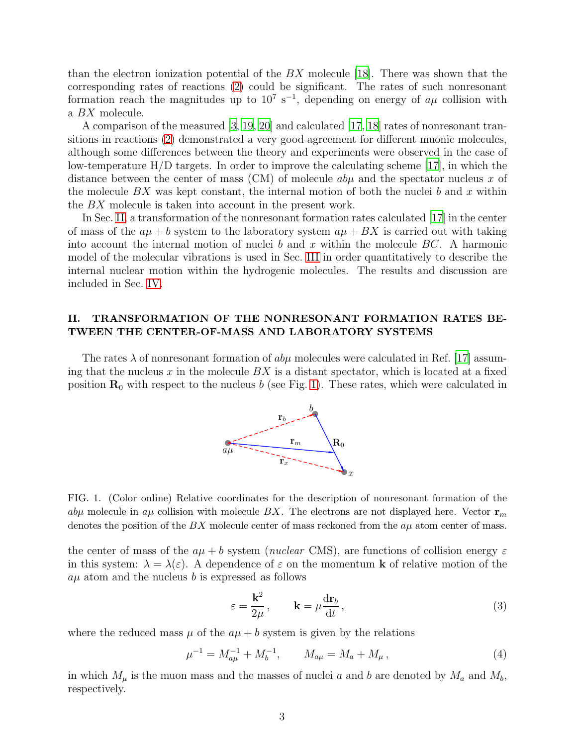than the electron ionization potential of the  $BX$  molecule [\[18\]](#page-21-6). There was shown that the corresponding rates of reactions [\(2\)](#page-1-2) could be significant. The rates of such nonresonant formation reach the magnitudes up to  $10^7$  s<sup>-1</sup>, depending on energy of  $a\mu$  collision with a BX molecule.

A comparison of the measured [\[3](#page-20-1), [19,](#page-21-7) [20\]](#page-21-8) and calculated [\[17,](#page-21-4) [18\]](#page-21-6) rates of nonresonant transitions in reactions [\(2\)](#page-1-2) demonstrated a very good agreement for different muonic molecules, although some differences between the theory and experiments were observed in the case of low-temperature  $H/D$  targets. In order to improve the calculating scheme [\[17\]](#page-21-4), in which the distance between the center of mass (CM) of molecule  $ab\mu$  and the spectator nucleus x of the molecule  $BX$  was kept constant, the internal motion of both the nuclei b and x within the BX molecule is taken into account in the present work.

In Sec. [II,](#page-2-0) a transformation of the nonresonant formation rates calculated [\[17](#page-21-4)] in the center of mass of the  $a\mu + b$  system to the laboratory system  $a\mu + BX$  is carried out with taking into account the internal motion of nuclei b and x within the molecule  $BC$ . A harmonic model of the molecular vibrations is used in Sec. [III](#page-7-0) in order quantitatively to describe the internal nuclear motion within the hydrogenic molecules. The results and discussion are included in Sec. [IV.](#page-11-0)

## <span id="page-2-0"></span>II. TRANSFORMATION OF THE NONRESONANT FORMATION RATES BE-TWEEN THE CENTER-OF-MASS AND LABORATORY SYSTEMS

The rates  $\lambda$  of nonresonant formation of  $ab\mu$  molecules were calculated in Ref. [\[17\]](#page-21-4) assuming that the nucleus  $x$  in the molecule  $BX$  is a distant spectator, which is located at a fixed position  $\mathbf{R}_0$  with respect to the nucleus b (see Fig. [1\)](#page-2-1). These rates, which were calculated in



<span id="page-2-1"></span>FIG. 1. (Color online) Relative coordinates for the description of nonresonant formation of the aby molecule in  $a\mu$  collision with molecule BX. The electrons are not displayed here. Vector  $\mathbf{r}_m$ denotes the position of the  $BX$  molecule center of mass reckoned from the  $a\mu$  atom center of mass.

the center of mass of the  $a\mu + b$  system (*nuclear* CMS), are functions of collision energy  $\varepsilon$ in this system:  $\lambda = \lambda(\varepsilon)$ . A dependence of  $\varepsilon$  on the momentum **k** of relative motion of the  $a\mu$  atom and the nucleus b is expressed as follows

<span id="page-2-2"></span>
$$
\varepsilon = \frac{\mathbf{k}^2}{2\mu}, \qquad \mathbf{k} = \mu \frac{\mathrm{d}\mathbf{r}_b}{\mathrm{d}t}, \tag{3}
$$

where the reduced mass  $\mu$  of the  $a\mu + b$  system is given by the relations

<span id="page-2-3"></span>
$$
\mu^{-1} = M_{a\mu}^{-1} + M_b^{-1}, \qquad M_{a\mu} = M_a + M_\mu \,, \tag{4}
$$

in which  $M_{\mu}$  is the muon mass and the masses of nuclei a and b are denoted by  $M_a$  and  $M_b$ , respectively.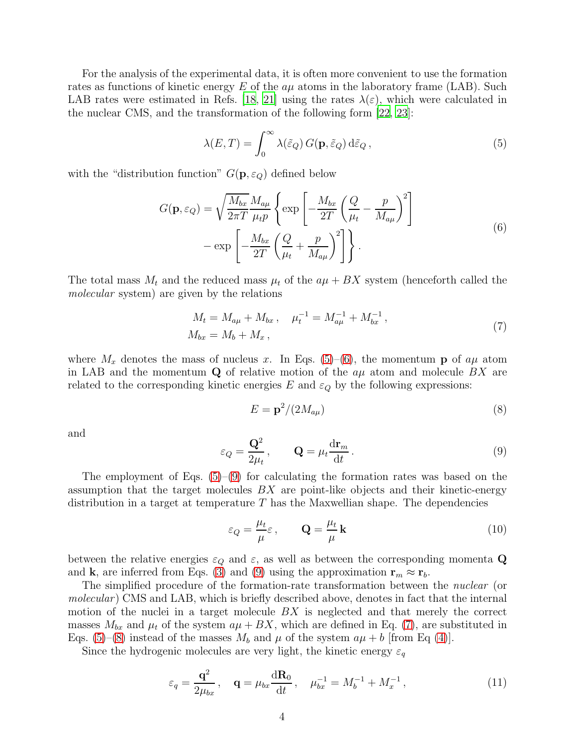For the analysis of the experimental data, it is often more convenient to use the formation rates as functions of kinetic energy E of the  $a\mu$  atoms in the laboratory frame (LAB). Such LAB rates were estimated in Refs. [\[18,](#page-21-6) [21](#page-21-9)] using the rates  $\lambda(\varepsilon)$ , which were calculated in the nuclear CMS, and the transformation of the following form [\[22,](#page-21-10) [23\]](#page-21-11):

<span id="page-3-0"></span>
$$
\lambda(E,T) = \int_0^\infty \lambda(\tilde{\varepsilon}_Q) G(\mathbf{p}, \tilde{\varepsilon}_Q) d\tilde{\varepsilon}_Q , \qquad (5)
$$

<span id="page-3-1"></span>with the "distribution function"  $G(\mathbf{p}, \varepsilon_Q)$  defined below

$$
G(\mathbf{p}, \varepsilon_Q) = \sqrt{\frac{M_{bx}}{2\pi T}} \frac{M_{a\mu}}{\mu_t p} \left\{ \exp\left[ -\frac{M_{bx}}{2T} \left( \frac{Q}{\mu_t} - \frac{p}{M_{a\mu}} \right)^2 \right] - \exp\left[ -\frac{M_{bx}}{2T} \left( \frac{Q}{\mu_t} + \frac{p}{M_{a\mu}} \right)^2 \right] \right\}.
$$
\n(6)

The total mass  $M_t$  and the reduced mass  $\mu_t$  of the  $a\mu + BX$  system (henceforth called the molecular system) are given by the relations

$$
M_t = M_{a\mu} + M_{bx}, \quad \mu_t^{-1} = M_{a\mu}^{-1} + M_{bx}^{-1},
$$
  
\n
$$
M_{bx} = M_b + M_x,
$$
\n(7)

<span id="page-3-3"></span>where  $M_x$  denotes the mass of nucleus x. In Eqs. [\(5\)](#page-3-0)–[\(6\)](#page-3-1), the momentum **p** of  $a\mu$  atom in LAB and the momentum  $\bf{Q}$  of relative motion of the  $a\mu$  atom and molecule BX are related to the corresponding kinetic energies  $E$  and  $\varepsilon_Q$  by the following expressions:

<span id="page-3-4"></span>
$$
E = \mathbf{p}^2 / (2M_{a\mu})\tag{8}
$$

and

<span id="page-3-2"></span>
$$
\varepsilon_Q = \frac{\mathbf{Q}^2}{2\mu_t}, \qquad \mathbf{Q} = \mu_t \frac{\mathrm{d}\mathbf{r}_m}{\mathrm{d}t} \,. \tag{9}
$$

The employment of Eqs.  $(5)-(9)$  $(5)-(9)$  for calculating the formation rates was based on the assumption that the target molecules  $BX$  are point-like objects and their kinetic-energy distribution in a target at temperature  $T$  has the Maxwellian shape. The dependencies

<span id="page-3-6"></span>
$$
\varepsilon_Q = \frac{\mu_t}{\mu} \varepsilon, \qquad \mathbf{Q} = \frac{\mu_t}{\mu} \mathbf{k} \tag{10}
$$

between the relative energies  $\varepsilon_Q$  and  $\varepsilon$ , as well as between the corresponding momenta Q and **k**, are inferred from Eqs. [\(3\)](#page-2-2) and [\(9\)](#page-3-2) using the approximation  $\mathbf{r}_m \approx \mathbf{r}_b$ .

The simplified procedure of the formation-rate transformation between the *nuclear* (or molecular) CMS and LAB, which is briefly described above, denotes in fact that the internal motion of the nuclei in a target molecule BX is neglected and that merely the correct masses  $M_{bx}$  and  $\mu_t$  of the system  $a\mu + BX$ , which are defined in Eq. [\(7\)](#page-3-3), are substituted in Eqs. [\(5\)](#page-3-0)–[\(8\)](#page-3-4) instead of the masses  $M_b$  and  $\mu$  of the system  $a\mu + b$  [from Eq [\(4\)](#page-2-3)].

Since the hydrogenic molecules are very light, the kinetic energy  $\varepsilon_q$ 

<span id="page-3-5"></span>
$$
\varepsilon_q = \frac{\mathbf{q}^2}{2\mu_{bx}}, \quad \mathbf{q} = \mu_{bx} \frac{d\mathbf{R}_0}{dt}, \quad \mu_{bx}^{-1} = M_b^{-1} + M_x^{-1},
$$
\n(11)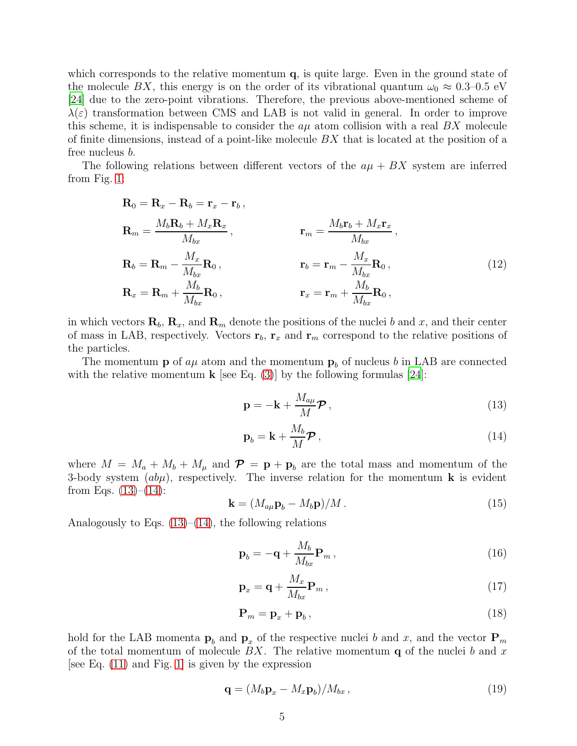which corresponds to the relative momentum  $q$ , is quite large. Even in the ground state of the molecule BX, this energy is on the order of its vibrational quantum  $\omega_0 \approx 0.3{\text -}0.5 \text{ eV}$ [\[24\]](#page-21-12) due to the zero-point vibrations. Therefore, the previous above-mentioned scheme of  $\lambda(\varepsilon)$  transformation between CMS and LAB is not valid in general. In order to improve this scheme, it is indispensable to consider the  $a\mu$  atom collision with a real BX molecule of finite dimensions, instead of a point-like molecule  $BX$  that is located at the position of a free nucleus b.

The following relations between different vectors of the  $a\mu + BX$  system are inferred from Fig. [1:](#page-2-1)

$$
\mathbf{R}_0 = \mathbf{R}_x - \mathbf{R}_b = \mathbf{r}_x - \mathbf{r}_b,
$$
\n
$$
\mathbf{R}_m = \frac{M_b \mathbf{R}_b + M_x \mathbf{R}_x}{M_{bx}}, \qquad \mathbf{r}_m = \frac{M_b \mathbf{r}_b + M_x \mathbf{r}_x}{M_{bx}},
$$
\n
$$
\mathbf{R}_b = \mathbf{R}_m - \frac{M_x}{M_{bx}} \mathbf{R}_0,
$$
\n
$$
\mathbf{r}_b = \mathbf{r}_m - \frac{M_x}{M_{bx}} \mathbf{R}_0,
$$
\n
$$
\mathbf{r}_x = \mathbf{r}_m + \frac{M_b}{M_{bx}} \mathbf{R}_0,
$$
\n(12)

in which vectors  $\mathbf{R}_b$ ,  $\mathbf{R}_x$ , and  $\mathbf{R}_m$  denote the positions of the nuclei b and x, and their center of mass in LAB, respectively. Vectors  $\mathbf{r}_b$ ,  $\mathbf{r}_x$  and  $\mathbf{r}_m$  correspond to the relative positions of the particles.

The momentum **p** of  $a\mu$  atom and the momentum  $\mathbf{p}_b$  of nucleus b in LAB are connected with the relative momentum **k** [see Eq. [\(3\)](#page-2-2)] by the following formulas [\[24\]](#page-21-12):

<span id="page-4-4"></span><span id="page-4-0"></span>
$$
\mathbf{p} = -\mathbf{k} + \frac{M_{a\mu}}{M} \boldsymbol{\mathcal{P}},\tag{13}
$$

<span id="page-4-1"></span>
$$
\mathbf{p}_b = \mathbf{k} + \frac{M_b}{M} \boldsymbol{\mathcal{P}}\,,\tag{14}
$$

where  $M = M_a + M_b + M_\mu$  and  $\mathcal{P} = \mathbf{p} + \mathbf{p}_b$  are the total mass and momentum of the 3-body system  $(ab\mu)$ , respectively. The inverse relation for the momentum **k** is evident from Eqs.  $(13)–(14)$  $(13)–(14)$ :

<span id="page-4-2"></span>
$$
\mathbf{k} = (M_{a\mu}\mathbf{p}_b - M_b\mathbf{p})/M. \tag{15}
$$

Analogously to Eqs.  $(13)$ – $(14)$ , the following relations

<span id="page-4-3"></span>
$$
\mathbf{p}_b = -\mathbf{q} + \frac{M_b}{M_{bx}} \mathbf{P}_m , \qquad (16)
$$

$$
\mathbf{p}_x = \mathbf{q} + \frac{M_x}{M_{bx}} \mathbf{P}_m, \qquad (17)
$$

<span id="page-4-5"></span>
$$
\mathbf{P}_m = \mathbf{p}_x + \mathbf{p}_b, \tag{18}
$$

hold for the LAB momenta  $p_b$  and  $p_x$  of the respective nuclei b and x, and the vector  $P_m$ of the total momentum of molecule  $BX$ . The relative momentum  $q$  of the nuclei b and x [see Eq. [\(11\)](#page-3-5) and Fig. [1\]](#page-2-1) is given by the expression

<span id="page-4-6"></span>
$$
\mathbf{q} = (M_b \mathbf{p}_x - M_x \mathbf{p}_b) / M_{bx}, \qquad (19)
$$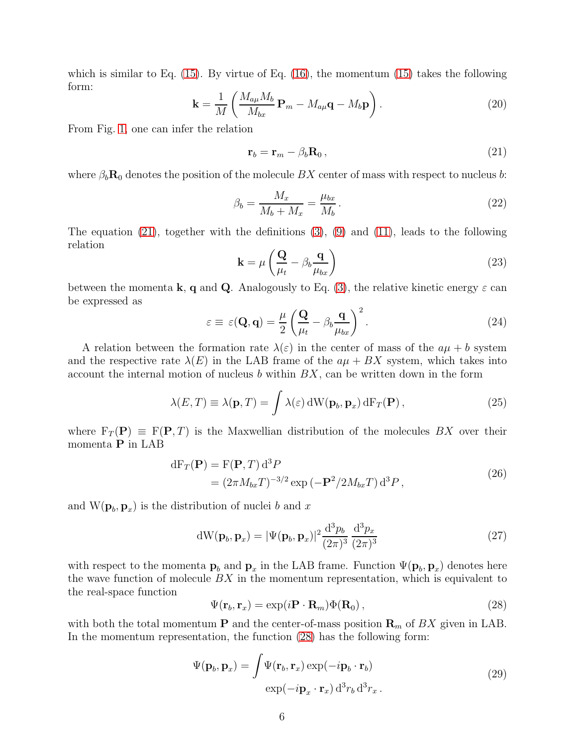which is similar to Eq.  $(15)$ . By virtue of Eq.  $(16)$ , the momentum  $(15)$  takes the following form:

$$
\mathbf{k} = \frac{1}{M} \left( \frac{M_{a\mu} M_b}{M_{bx}} \mathbf{P}_m - M_{a\mu} \mathbf{q} - M_b \mathbf{p} \right). \tag{20}
$$

From Fig. [1,](#page-2-1) one can infer the relation

<span id="page-5-0"></span>
$$
\mathbf{r}_b = \mathbf{r}_m - \beta_b \mathbf{R}_0 \,, \tag{21}
$$

where  $\beta_b \mathbf{R}_0$  denotes the position of the molecule  $BX$  center of mass with respect to nucleus b:

$$
\beta_b = \frac{M_x}{M_b + M_x} = \frac{\mu_{bx}}{M_b} \,. \tag{22}
$$

The equation [\(21\)](#page-5-0), together with the definitions [\(3\)](#page-2-2), [\(9\)](#page-3-2) and [\(11\)](#page-3-5), leads to the following relation

$$
\mathbf{k} = \mu \left( \frac{\mathbf{Q}}{\mu_t} - \beta_b \frac{\mathbf{q}}{\mu_{bx}} \right)
$$
 (23)

between the momenta **k**, **q** and **Q**. Analogously to Eq. [\(3\)](#page-2-2), the relative kinetic energy  $\varepsilon$  can be expressed as

<span id="page-5-6"></span>
$$
\varepsilon \equiv \varepsilon(\mathbf{Q}, \mathbf{q}) = \frac{\mu}{2} \left( \frac{\mathbf{Q}}{\mu_t} - \beta_b \frac{\mathbf{q}}{\mu_{bx}} \right)^2.
$$
 (24)

A relation between the formation rate  $\lambda(\varepsilon)$  in the center of mass of the  $a\mu + b$  system and the respective rate  $\lambda(E)$  in the LAB frame of the  $a\mu + BX$  system, which takes into account the internal motion of nucleus  $b$  within  $BX$ , can be written down in the form

<span id="page-5-3"></span>
$$
\lambda(E,T) \equiv \lambda(\mathbf{p},T) = \int \lambda(\varepsilon) \, dW(\mathbf{p}_b, \mathbf{p}_x) \, dF_T(\mathbf{P}), \qquad (25)
$$

where  $F_T(P) \equiv F(P, T)$  is the Maxwellian distribution of the molecules BX over their momenta P in LAB

$$
dF_T(\mathbf{P}) = F(\mathbf{P}, T) d^3 P
$$
  
=  $(2\pi M_{bx}T)^{-3/2} \exp(-\mathbf{P}^2/2M_{bx}T) d^3 P,$  (26)

<span id="page-5-4"></span>and  $W(\mathbf{p}_b, \mathbf{p}_x)$  is the distribution of nuclei b and x

<span id="page-5-5"></span>
$$
dW(\mathbf{p}_b, \mathbf{p}_x) = |\Psi(\mathbf{p}_b, \mathbf{p}_x)|^2 \frac{d^3 p_b}{(2\pi)^3} \frac{d^3 p_x}{(2\pi)^3}
$$
(27)

with respect to the momenta  $\mathbf{p}_b$  and  $\mathbf{p}_x$  in the LAB frame. Function  $\Psi(\mathbf{p}_b, \mathbf{p}_x)$  denotes here the wave function of molecule  $BX$  in the momentum representation, which is equivalent to the real-space function

<span id="page-5-1"></span>
$$
\Psi(\mathbf{r}_b, \mathbf{r}_x) = \exp(i\mathbf{P} \cdot \mathbf{R}_m) \Phi(\mathbf{R}_0), \qquad (28)
$$

<span id="page-5-2"></span>with both the total momentum **P** and the center-of-mass position  $\mathbf{R}_m$  of BX given in LAB. In the momentum representation, the function [\(28\)](#page-5-1) has the following form:

$$
\Psi(\mathbf{p}_b, \mathbf{p}_x) = \int \Psi(\mathbf{r}_b, \mathbf{r}_x) \exp(-i\mathbf{p}_b \cdot \mathbf{r}_b)
$$
  
\n
$$
\exp(-i\mathbf{p}_x \cdot \mathbf{r}_x) d^3 r_b d^3 r_x.
$$
\n(29)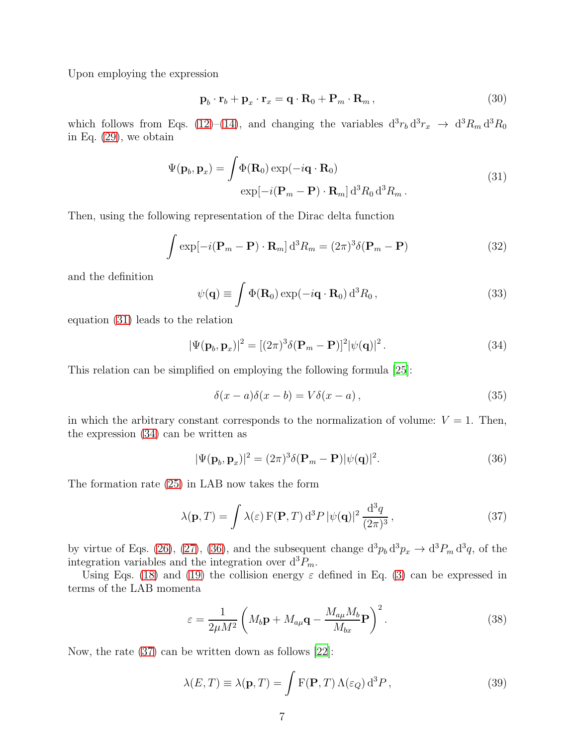Upon employing the expression

$$
\mathbf{p}_b \cdot \mathbf{r}_b + \mathbf{p}_x \cdot \mathbf{r}_x = \mathbf{q} \cdot \mathbf{R}_0 + \mathbf{P}_m \cdot \mathbf{R}_m, \qquad (30)
$$

which follows from Eqs. [\(12\)](#page-4-4)–[\(14\)](#page-4-1), and changing the variables  $d^3r_b d^3r_x \rightarrow d^3R_m d^3R_0$ in Eq. [\(29\)](#page-5-2), we obtain

$$
\Psi(\mathbf{p}_b, \mathbf{p}_x) = \int \Phi(\mathbf{R}_0) \exp(-i\mathbf{q} \cdot \mathbf{R}_0)
$$
  
\n
$$
\exp[-i(\mathbf{P}_m - \mathbf{P}) \cdot \mathbf{R}_m] d^3 R_0 d^3 R_m.
$$
\n(31)

<span id="page-6-0"></span>Then, using the following representation of the Dirac delta function

$$
\int \exp[-i(\mathbf{P}_m - \mathbf{P}) \cdot \mathbf{R}_m] d^3 R_m = (2\pi)^3 \delta(\mathbf{P}_m - \mathbf{P})
$$
\n(32)

and the definition

$$
\psi(\mathbf{q}) \equiv \int \Phi(\mathbf{R}_0) \exp(-i\mathbf{q} \cdot \mathbf{R}_0) d^3 R_0 , \qquad (33)
$$

equation [\(31\)](#page-6-0) leads to the relation

<span id="page-6-1"></span>
$$
|\Psi(\mathbf{p}_b, \mathbf{p}_x)|^2 = [(2\pi)^3 \delta(\mathbf{P}_m - \mathbf{P})]^2 |\psi(\mathbf{q})|^2.
$$
 (34)

This relation can be simplified on employing the following formula [\[25\]](#page-21-13):

$$
\delta(x-a)\delta(x-b) = V\delta(x-a),\tag{35}
$$

in which the arbitrary constant corresponds to the normalization of volume:  $V = 1$ . Then, the expression [\(34\)](#page-6-1) can be written as

<span id="page-6-2"></span>
$$
|\Psi(\mathbf{p}_b, \mathbf{p}_x)|^2 = (2\pi)^3 \delta(\mathbf{P}_m - \mathbf{P}) |\psi(\mathbf{q})|^2.
$$
 (36)

The formation rate [\(25\)](#page-5-3) in LAB now takes the form

<span id="page-6-3"></span>
$$
\lambda(\mathbf{p},T) = \int \lambda(\varepsilon) \, \mathbf{F}(\mathbf{P},T) \, \mathrm{d}^3 P \, |\psi(\mathbf{q})|^2 \, \frac{\mathrm{d}^3 q}{(2\pi)^3},\tag{37}
$$

by virtue of Eqs. [\(26\)](#page-5-4), [\(27\)](#page-5-5), [\(36\)](#page-6-2), and the subsequent change  $d^3p_b d^3p_x \to d^3P_m d^3q$ , of the integration variables and the integration over  $d^3P_m$ .

Using Eqs. [\(18\)](#page-4-5) and [\(19\)](#page-4-6) the collision energy  $\varepsilon$  defined in Eq. [\(3\)](#page-2-2) can be expressed in terms of the LAB momenta

<span id="page-6-5"></span>
$$
\varepsilon = \frac{1}{2\mu M^2} \left( M_b \mathbf{p} + M_{a\mu} \mathbf{q} - \frac{M_{a\mu} M_b}{M_{bx}} \mathbf{P} \right)^2.
$$
 (38)

Now, the rate [\(37\)](#page-6-3) can be written down as follows [\[22\]](#page-21-10):

<span id="page-6-4"></span>
$$
\lambda(E,T) \equiv \lambda(\mathbf{p},T) = \int F(\mathbf{P},T) \,\Lambda(\varepsilon_Q) \,\mathrm{d}^3 P \,, \tag{39}
$$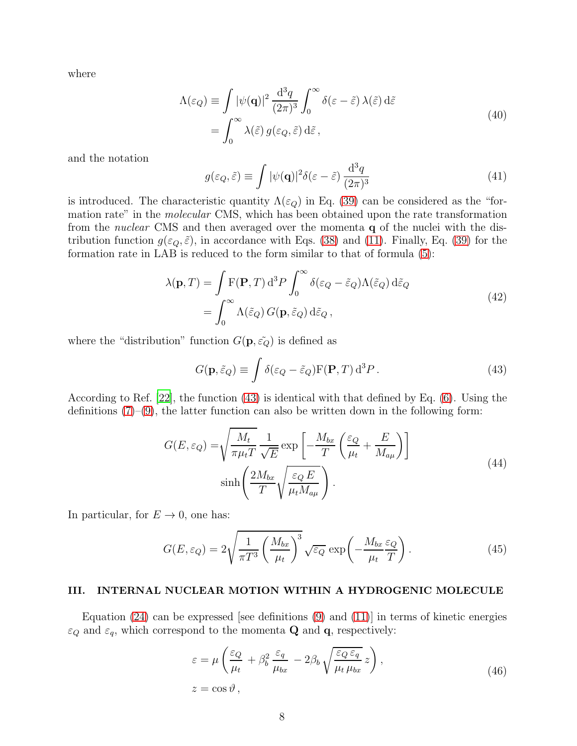<span id="page-7-3"></span>where

$$
\Lambda(\varepsilon_Q) \equiv \int |\psi(\mathbf{q})|^2 \frac{\mathrm{d}^3 q}{(2\pi)^3} \int_0^\infty \delta(\varepsilon - \tilde{\varepsilon}) \,\lambda(\tilde{\varepsilon}) \,\mathrm{d}\tilde{\varepsilon}
$$
\n
$$
= \int_0^\infty \lambda(\tilde{\varepsilon}) \, g(\varepsilon_Q, \tilde{\varepsilon}) \,\mathrm{d}\tilde{\varepsilon} \,, \tag{40}
$$

and the notation

<span id="page-7-4"></span>
$$
g(\varepsilon_Q, \tilde{\varepsilon}) \equiv \int |\psi(\mathbf{q})|^2 \delta(\varepsilon - \tilde{\varepsilon}) \frac{\mathrm{d}^3 q}{(2\pi)^3} \tag{41}
$$

is introduced. The characteristic quantity  $\Lambda(\varepsilon_Q)$  in Eq. [\(39\)](#page-6-4) can be considered as the "formation rate" in the *molecular* CMS, which has been obtained upon the rate transformation from the nuclear CMS and then averaged over the momenta q of the nuclei with the distribution function  $g(\varepsilon_Q, \tilde{\varepsilon})$ , in accordance with Eqs. [\(38\)](#page-6-5) and [\(11\)](#page-3-5). Finally, Eq. [\(39\)](#page-6-4) for the formation rate in LAB is reduced to the form similar to that of formula [\(5\)](#page-3-0):

$$
\lambda(\mathbf{p}, T) = \int \mathbf{F}(\mathbf{P}, T) d^3 P \int_0^\infty \delta(\varepsilon_Q - \tilde{\varepsilon}_Q) \Lambda(\tilde{\varepsilon}_Q) d\tilde{\varepsilon}_Q
$$
  
= 
$$
\int_0^\infty \Lambda(\tilde{\varepsilon}_Q) G(\mathbf{p}, \tilde{\varepsilon}_Q) d\tilde{\varepsilon}_Q,
$$
 (42)

<span id="page-7-5"></span>where the "distribution" function  $G(\mathbf{p}, \tilde{\epsilon}_{Q})$  is defined as

<span id="page-7-1"></span>
$$
G(\mathbf{p}, \tilde{\varepsilon}_Q) \equiv \int \delta(\varepsilon_Q - \tilde{\varepsilon}_Q) \mathbf{F}(\mathbf{P}, T) d^3 P. \tag{43}
$$

According to Ref. [\[22](#page-21-10)], the function [\(43\)](#page-7-1) is identical with that defined by Eq. [\(6\)](#page-3-1). Using the definitions  $(7)-(9)$  $(7)-(9)$ , the latter function can also be written down in the following form:

$$
G(E, \varepsilon_Q) = \sqrt{\frac{M_t}{\pi \mu_t T}} \frac{1}{\sqrt{E}} \exp\left[-\frac{M_{bx}}{T} \left(\frac{\varepsilon_Q}{\mu_t} + \frac{E}{M_{a\mu}}\right)\right]
$$
  

$$
\sinh\left(\frac{2M_{bx}}{T} \sqrt{\frac{\varepsilon_Q E}{\mu_t M_{a\mu}}}\right).
$$
 (44)

<span id="page-7-6"></span>In particular, for  $E \to 0$ , one has:

$$
G(E, \varepsilon_Q) = 2\sqrt{\frac{1}{\pi T^3} \left(\frac{M_{bx}}{\mu_t}\right)^3} \sqrt{\varepsilon_Q} \exp\left(-\frac{M_{bx}}{\mu_t} \frac{\varepsilon_Q}{T}\right). \tag{45}
$$

## <span id="page-7-0"></span>III. INTERNAL NUCLEAR MOTION WITHIN A HYDROGENIC MOLECULE

<span id="page-7-2"></span>Equation  $(24)$  can be expressed [see definitions  $(9)$  and  $(11)$ ] in terms of kinetic energies  $\varepsilon_Q$  and  $\varepsilon_q$ , which correspond to the momenta **Q** and **q**, respectively:

$$
\varepsilon = \mu \left( \frac{\varepsilon_Q}{\mu_t} + \beta_b^2 \frac{\varepsilon_q}{\mu_{bx}} - 2\beta_b \sqrt{\frac{\varepsilon_Q \varepsilon_q}{\mu_t \mu_{bx}}} z \right),
$$
  

$$
z = \cos \vartheta,
$$
 (46)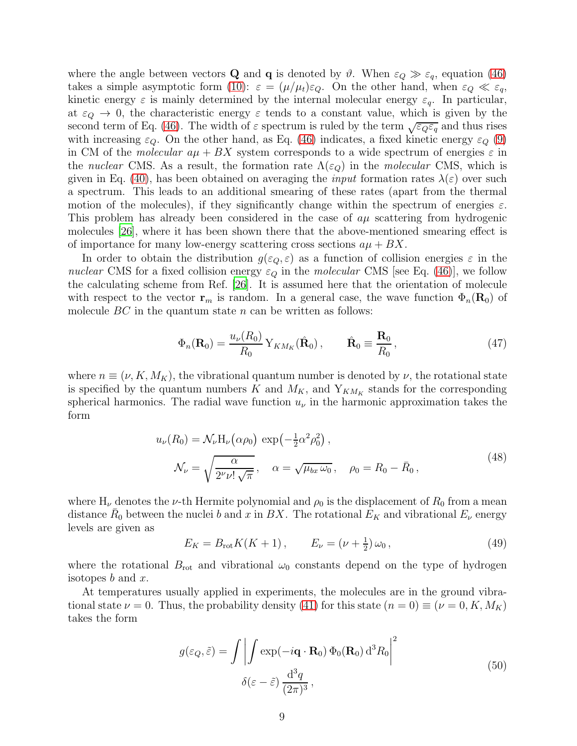where the angle between vectors **Q** and **q** is denoted by  $\vartheta$ . When  $\varepsilon_Q \gg \varepsilon_q$ , equation [\(46\)](#page-7-2) takes a simple asymptotic form [\(10\)](#page-3-6):  $\varepsilon = (\mu/\mu_t)\varepsilon_Q$ . On the other hand, when  $\varepsilon_Q \ll \varepsilon_q$ , kinetic energy  $\varepsilon$  is mainly determined by the internal molecular energy  $\varepsilon_q$ . In particular, at  $\varepsilon_Q \to 0$ , the characteristic energy  $\varepsilon$  tends to a constant value, which is given by the second term of Eq. [\(46\)](#page-7-2). The width of  $\varepsilon$  spectrum is ruled by the term  $\sqrt{\varepsilon_{Q}\varepsilon_{q}}$  and thus rises with increasing  $\varepsilon_Q$ . On the other hand, as Eq. [\(46\)](#page-7-2) indicates, a fixed kinetic energy  $\varepsilon_Q$  [\(9\)](#page-3-2) in CM of the *molecular*  $a\mu + BX$  system corresponds to a wide spectrum of energies  $\varepsilon$  in the nuclear CMS. As a result, the formation rate  $\Lambda(\varepsilon_{\Omega})$  in the molecular CMS, which is given in Eq. [\(40\)](#page-7-3), has been obtained on averaging the *input* formation rates  $\lambda(\varepsilon)$  over such a spectrum. This leads to an additional smearing of these rates (apart from the thermal motion of the molecules), if they significantly change within the spectrum of energies  $\varepsilon$ . This problem has already been considered in the case of  $a\mu$  scattering from hydrogenic molecules [\[26](#page-21-14)], where it has been shown there that the above-mentioned smearing effect is of importance for many low-energy scattering cross sections  $a\mu + BX$ .

In order to obtain the distribution  $g(\varepsilon_{Q}, \varepsilon)$  as a function of collision energies  $\varepsilon$  in the nuclear CMS for a fixed collision energy  $\varepsilon_Q$  in the molecular CMS [see Eq. [\(46\)](#page-7-2)], we follow the calculating scheme from Ref. [\[26](#page-21-14)]. It is assumed here that the orientation of molecule with respect to the vector  $\mathbf{r}_m$  is random. In a general case, the wave function  $\Phi_n(\mathbf{R}_0)$  of molecule  $BC$  in the quantum state n can be written as follows:

<span id="page-8-0"></span>
$$
\Phi_n(\mathbf{R}_0) = \frac{u_\nu(R_0)}{R_0} \, Y_{KM_K}(\hat{\mathbf{R}}_0) \,, \qquad \hat{\mathbf{R}}_0 \equiv \frac{\mathbf{R}_0}{R_0} \,, \tag{47}
$$

where  $n \equiv (\nu, K, M_K)$ , the vibrational quantum number is denoted by  $\nu$ , the rotational state is specified by the quantum numbers K and  $M_K$ , and  $Y_{KM_K}$  stands for the corresponding spherical harmonics. The radial wave function  $u_{\nu}$  in the harmonic approximation takes the form

$$
u_{\nu}(R_0) = \mathcal{N}_{\nu}H_{\nu}(\alpha \rho_0) \exp\left(-\frac{1}{2}\alpha^2 \rho_0^2\right),
$$
  

$$
\mathcal{N}_{\nu} = \sqrt{\frac{\alpha}{2^{\nu} \nu! \sqrt{\pi}}}, \quad \alpha = \sqrt{\mu_{bx} \omega_0}, \quad \rho_0 = R_0 - \bar{R}_0,
$$
 (48)

<span id="page-8-1"></span>where  $H_{\nu}$  denotes the  $\nu$ -th Hermite polynomial and  $\rho_0$  is the displacement of  $R_0$  from a mean distance  $\bar{R}_0$  between the nuclei b and x in BX. The rotational  $E_K$  and vibrational  $E_{\nu}$  energy levels are given as

$$
E_K = B_{\rm rot} K(K+1), \qquad E_{\nu} = (\nu + \frac{1}{2}) \,\omega_0 \,, \tag{49}
$$

where the rotational  $B_{\rm rot}$  and vibrational  $\omega_0$  constants depend on the type of hydrogen isotopes  $b$  and  $x$ .

<span id="page-8-2"></span>At temperatures usually applied in experiments, the molecules are in the ground vibrational state  $\nu = 0$ . Thus, the probability density [\(41\)](#page-7-4) for this state  $(n = 0) \equiv (\nu = 0, K, M_K)$ takes the form

$$
g(\varepsilon_Q, \tilde{\varepsilon}) = \int \left| \int \exp(-i\mathbf{q} \cdot \mathbf{R}_0) \Phi_0(\mathbf{R}_0) d^3 R_0 \right|^2
$$
  

$$
\delta(\varepsilon - \tilde{\varepsilon}) \frac{d^3 q}{(2\pi)^3},
$$
 (50)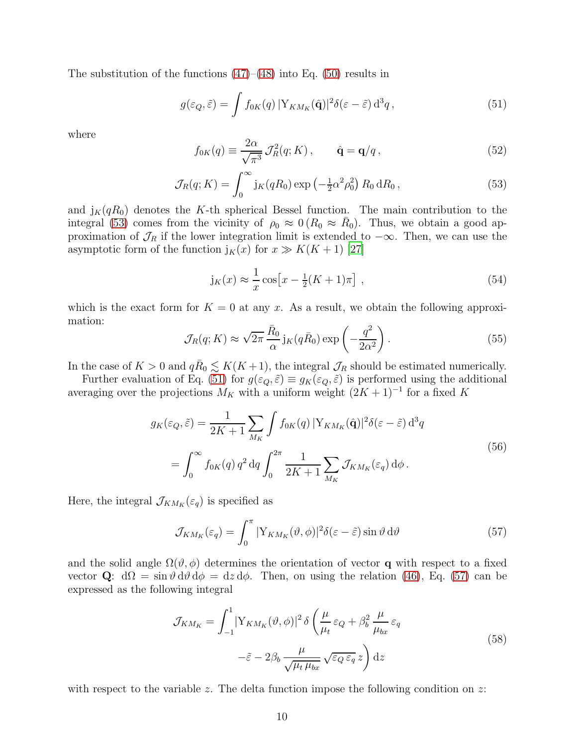The substitution of the functions  $(47)$ – $(48)$  into Eq. [\(50\)](#page-8-2) results in

<span id="page-9-1"></span>
$$
g(\varepsilon_Q, \tilde{\varepsilon}) = \int f_{0K}(q) \, |Y_{KM_K}(\hat{\mathbf{q}})|^2 \delta(\varepsilon - \tilde{\varepsilon}) \, d^3q \,, \tag{51}
$$

where

$$
f_{0K}(q) \equiv \frac{2\alpha}{\sqrt{\pi^3}} \mathcal{J}_R^2(q; K) , \qquad \hat{\mathbf{q}} = \mathbf{q}/q , \qquad (52)
$$

<span id="page-9-0"></span>
$$
\mathcal{J}_R(q; K) = \int_0^\infty j_K(qR_0) \exp\left(-\frac{1}{2}\alpha^2 \rho_0^2\right) R_0 \, dR_0 \,,\tag{53}
$$

and  $j_K(qR_0)$  denotes the K-th spherical Bessel function. The main contribution to the integral [\(53\)](#page-9-0) comes from the vicinity of  $\rho_0 \approx 0 (R_0 \approx \bar{R}_0)$ . Thus, we obtain a good approximation of  $\mathcal{J}_R$  if the lower integration limit is extended to  $-\infty$ . Then, we can use the asymptotic form of the function  $j_K(x)$  for  $x \gg K(K+1)$  [\[27\]](#page-21-15)

$$
j_K(x) \approx \frac{1}{x}\cos\left[x - \frac{1}{2}(K+1)\pi\right],\tag{54}
$$

which is the exact form for  $K = 0$  at any x. As a result, we obtain the following approximation:

<span id="page-9-4"></span>
$$
\mathcal{J}_R(q;K) \approx \sqrt{2\pi} \frac{\bar{R}_0}{\alpha} j_K(q\bar{R}_0) \exp\left(-\frac{q^2}{2\alpha^2}\right). \tag{55}
$$

In the case of  $K > 0$  and  $q\overline{R}_0 \lesssim K(K+1)$ , the integral  $\mathcal{J}_R$  should be estimated numerically.

Further evaluation of Eq. [\(51\)](#page-9-1) for  $g(\varepsilon_Q, \tilde{\varepsilon}) \equiv g_K(\varepsilon_Q, \tilde{\varepsilon})$  is performed using the additional averaging over the projections  $M_K$  with a uniform weight  $(2K + 1)^{-1}$  for a fixed K

$$
g_K(\varepsilon_Q, \tilde{\varepsilon}) = \frac{1}{2K+1} \sum_{M_K} \int f_{0K}(q) |Y_{KM_K}(\hat{\mathbf{q}})|^2 \delta(\varepsilon - \tilde{\varepsilon}) d^3 q
$$
  
= 
$$
\int_0^\infty f_{0K}(q) q^2 dq \int_0^{2\pi} \frac{1}{2K+1} \sum_{M_K} \mathcal{J}_{KM_K}(\varepsilon_q) d\phi.
$$
 (56)

<span id="page-9-3"></span>Here, the integral  $\mathcal{J}_{KM_K}(\varepsilon_q)$  is specified as

<span id="page-9-2"></span>
$$
\mathcal{J}_{KM_K}(\varepsilon_q) = \int_0^\pi |Y_{KM_K}(\vartheta,\phi)|^2 \delta(\varepsilon - \tilde{\varepsilon}) \sin \vartheta \, d\vartheta \tag{57}
$$

and the solid angle  $\Omega(\vartheta, \phi)$  determines the orientation of vector q with respect to a fixed vector Q:  $d\Omega = \sin \theta \, d\theta \, d\phi = dz \, d\phi$ . Then, on using the relation [\(46\)](#page-7-2), Eq. [\(57\)](#page-9-2) can be expressed as the following integral

$$
\mathcal{J}_{KM_K} = \int_{-1}^{1} |Y_{KM_K}(\vartheta, \phi)|^2 \delta \left(\frac{\mu}{\mu_t} \varepsilon_Q + \beta_b^2 \frac{\mu}{\mu_{bx}} \varepsilon_q - \tilde{\varepsilon} - 2\beta_b \frac{\mu}{\sqrt{\mu_t \mu_{bx}}} \sqrt{\varepsilon_Q \varepsilon_q} z\right) dz
$$
\n(58)

<span id="page-9-5"></span>with respect to the variable z. The delta function impose the following condition on z: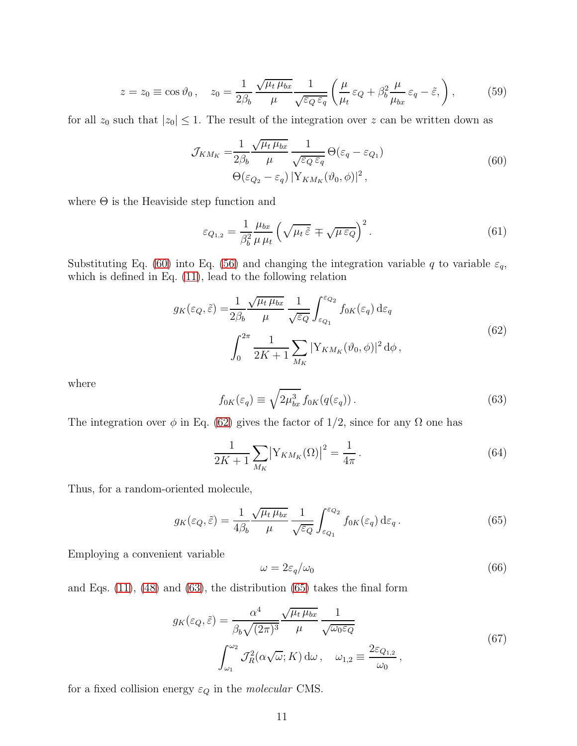$$
z = z_0 \equiv \cos \vartheta_0, \quad z_0 = \frac{1}{2\beta_b} \frac{\sqrt{\mu_t \mu_{bx}}}{\mu} \frac{1}{\sqrt{\varepsilon_Q \varepsilon_q}} \left( \frac{\mu}{\mu_t} \varepsilon_Q + \beta_b^2 \frac{\mu}{\mu_{bx}} \varepsilon_q - \tilde{\varepsilon}, \right), \tag{59}
$$

<span id="page-10-0"></span>for all  $z_0$  such that  $|z_0| \leq 1$ . The result of the integration over z can be written down as

$$
\mathcal{J}_{KM_K} = \frac{1}{2\beta_b} \frac{\sqrt{\mu_t \mu_{bx}}}{\mu} \frac{1}{\sqrt{\varepsilon_Q \varepsilon_q}} \Theta(\varepsilon_q - \varepsilon_{Q_1})
$$
  
 
$$
\Theta(\varepsilon_{Q_2} - \varepsilon_q) |Y_{KM_K}(\vartheta_0, \phi)|^2,
$$
 (60)

where  $\Theta$  is the Heaviside step function and

$$
\varepsilon_{Q_{1,2}} = \frac{1}{\beta_b^2} \frac{\mu_{bx}}{\mu_{\mu}} \left( \sqrt{\mu_t \tilde{\varepsilon}} \mp \sqrt{\mu \varepsilon_Q} \right)^2.
$$
 (61)

Substituting Eq. [\(60\)](#page-10-0) into Eq. [\(56\)](#page-9-3) and changing the integration variable q to variable  $\varepsilon_q$ , which is defined in Eq. [\(11\)](#page-3-5), lead to the following relation

$$
g_K(\varepsilon_Q, \tilde{\varepsilon}) = \frac{1}{2\beta_b} \frac{\sqrt{\mu_t \mu_{bx}}}{\mu} \frac{1}{\sqrt{\varepsilon_Q}} \int_{\varepsilon_{Q_1}}^{\varepsilon_{Q_2}} f_{0K}(\varepsilon_q) d\varepsilon_q
$$
  

$$
\int_0^{2\pi} \frac{1}{2K+1} \sum_{M_K} |Y_{KM_K}(\vartheta_0, \phi)|^2 d\phi,
$$
 (62)

<span id="page-10-1"></span>where

<span id="page-10-2"></span>
$$
f_{0K}(\varepsilon_q) \equiv \sqrt{2\mu_{bx}^3} f_{0K}(q(\varepsilon_q)).
$$
\n(63)

The integration over  $\phi$  in Eq. [\(62\)](#page-10-1) gives the factor of 1/2, since for any  $\Omega$  one has

$$
\frac{1}{2K+1} \sum_{M_K} \left| Y_{KM_K}(\Omega) \right|^2 = \frac{1}{4\pi} \,. \tag{64}
$$

Thus, for a random-oriented molecule,

<span id="page-10-3"></span>
$$
g_K(\varepsilon_Q, \tilde{\varepsilon}) = \frac{1}{4\beta_b} \frac{\sqrt{\mu_t \mu_{bx}}}{\mu} \frac{1}{\sqrt{\varepsilon_Q}} \int_{\varepsilon_{Q_1}}^{\varepsilon_{Q_2}} f_{0K}(\varepsilon_q) d\varepsilon_q.
$$
 (65)

Employing a convenient variable

$$
\omega = 2\varepsilon_q/\omega_0 \tag{66}
$$

and Eqs.  $(11)$ ,  $(48)$  and  $(63)$ , the distribution  $(65)$  takes the final form

$$
g_K(\varepsilon_Q, \tilde{\varepsilon}) = \frac{\alpha^4}{\beta_b \sqrt{(2\pi)^3}} \frac{\sqrt{\mu_t \mu_{bx}}}{\mu} \frac{1}{\sqrt{\omega_0 \varepsilon_Q}}
$$
  

$$
\int_{\omega_1}^{\omega_2} \mathcal{J}_R^2(\alpha \sqrt{\omega}; K) d\omega, \quad \omega_{1,2} \equiv \frac{2\varepsilon_{Q_{1,2}}}{\omega_0},
$$
 (67)

<span id="page-10-4"></span>for a fixed collision energy  $\varepsilon_Q$  in the *molecular* CMS.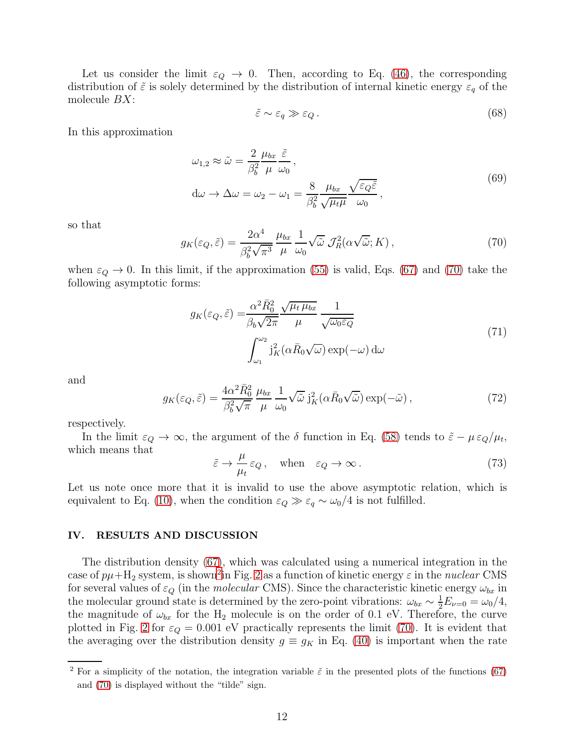Let us consider the limit  $\varepsilon_Q \to 0$ . Then, according to Eq. [\(46\)](#page-7-2), the corresponding distribution of  $\tilde{\varepsilon}$  is solely determined by the distribution of internal kinetic energy  $\varepsilon_q$  of the molecule  $BX$ :

$$
\tilde{\varepsilon} \sim \varepsilon_q \gg \varepsilon_Q. \tag{68}
$$

In this approximation

$$
\omega_{1,2} \approx \tilde{\omega} = \frac{2}{\beta_b^2} \frac{\mu_{bx}}{\mu} \frac{\tilde{\varepsilon}}{\omega_0},
$$
  
\n
$$
d\omega \to \Delta \omega = \omega_2 - \omega_1 = \frac{8}{\beta_b^2} \frac{\mu_{bx}}{\sqrt{\mu_t \mu}} \frac{\sqrt{\varepsilon_0 \tilde{\varepsilon}}}{\omega_0},
$$
\n(69)

so that

<span id="page-11-1"></span>
$$
g_K(\varepsilon_Q, \tilde{\varepsilon}) = \frac{2\alpha^4}{\beta_b^2 \sqrt{\pi^3}} \frac{\mu_{bx}}{\mu} \frac{1}{\omega_0} \sqrt{\tilde{\omega}} \mathcal{J}_R^2(\alpha \sqrt{\tilde{\omega}}; K) , \qquad (70)
$$

when  $\varepsilon_Q \to 0$ . In this limit, if the approximation [\(55\)](#page-9-4) is valid, Eqs. [\(67\)](#page-10-4) and [\(70\)](#page-11-1) take the following asymptotic forms:

$$
g_K(\varepsilon_Q, \tilde{\varepsilon}) = \frac{\alpha^2 \bar{R}_0^2}{\beta_b \sqrt{2\pi}} \frac{\sqrt{\mu_t \mu_{bx}}}{\mu} \frac{1}{\sqrt{\omega_0 \varepsilon_Q}}
$$
  

$$
\int_{\omega_1}^{\omega_2} \mathbf{j}_K^2(\alpha \bar{R}_0 \sqrt{\omega}) \exp(-\omega) d\omega
$$
 (71)

and

$$
g_K(\varepsilon_Q, \tilde{\varepsilon}) = \frac{4\alpha^2 \bar{R}_0^2}{\beta_b^2 \sqrt{\pi}} \frac{\mu_{bx}}{\mu} \frac{1}{\omega_0} \sqrt{\tilde{\omega}} j_K^2(\alpha \bar{R}_0 \sqrt{\tilde{\omega}}) \exp(-\tilde{\omega}), \qquad (72)
$$

respectively.

In the limit  $\varepsilon_Q \to \infty$ , the argument of the  $\delta$  function in Eq. [\(58\)](#page-9-5) tends to  $\tilde{\varepsilon} - \mu \varepsilon_Q / \mu_t$ , which means that

<span id="page-11-3"></span>
$$
\tilde{\varepsilon} \to \frac{\mu}{\mu_t} \varepsilon_Q \,, \quad \text{when} \quad \varepsilon_Q \to \infty \,. \tag{73}
$$

Let us note once more that it is invalid to use the above asymptotic relation, which is equivalent to Eq. [\(10\)](#page-3-6), when the condition  $\varepsilon_Q \gg \varepsilon_q \sim \omega_0/4$  is not fulfilled.

## <span id="page-11-0"></span>IV. RESULTS AND DISCUSSION

The distribution density [\(67\)](#page-10-4), which was calculated using a numerical integration in the case of  $p\mu + H_2$  $p\mu + H_2$  system, is shown<sup>2</sup> in Fig. [2](#page-12-0) as a function of kinetic energy  $\varepsilon$  in the *nuclear* CMS for several values of  $\varepsilon_Q$  (in the *molecular* CMS). Since the characteristic kinetic energy  $\omega_{bx}$  in the molecular ground state is determined by the zero-point vibrations:  $\omega_{bx} \sim \frac{1}{2} E_{\nu=0} = \omega_0/4$ , the magnitude of  $\omega_{bx}$  for the H<sub>2</sub> molecule is on the order of 0.1 eV. Therefore, the curve plotted in Fig. [2](#page-12-0) for  $\varepsilon_Q = 0.001$  eV practically represents the limit [\(70\)](#page-11-1). It is evident that the averaging over the distribution density  $g \equiv g_K$  in Eq. [\(40\)](#page-7-3) is important when the rate

<span id="page-11-2"></span><sup>&</sup>lt;sup>2</sup> For a simplicity of the notation, the integration variable  $\tilde{\varepsilon}$  in the presented plots of the functions [\(67\)](#page-10-4) and [\(70\)](#page-11-1) is displayed without the "tilde" sign.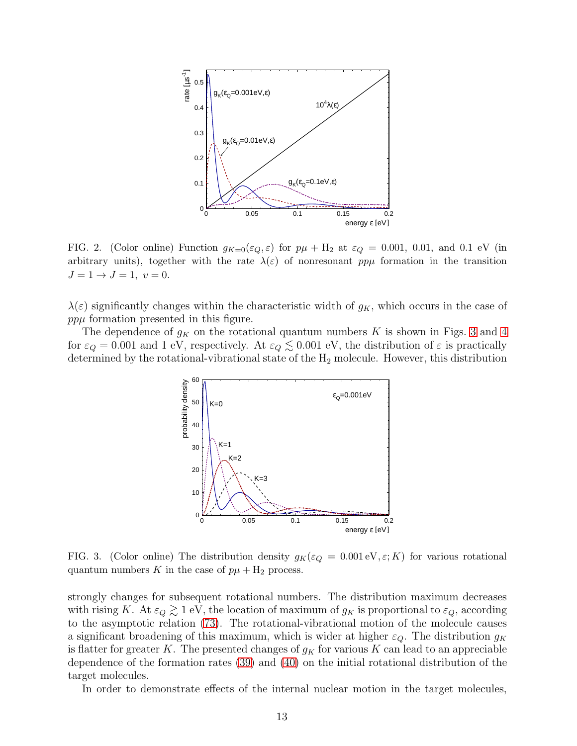

<span id="page-12-0"></span>FIG. 2. (Color online) Function  $g_{K=0}(\varepsilon_Q, \varepsilon)$  for  $p\mu + H_2$  at  $\varepsilon_Q = 0.001, 0.01,$  and 0.1 eV (in arbitrary units), together with the rate  $\lambda(\varepsilon)$  of nonresonant pp $\mu$  formation in the transition  $J = 1 \rightarrow J = 1, v = 0.$ 

 $\lambda(\varepsilon)$  significantly changes within the characteristic width of  $g_K$ , which occurs in the case of  $pp\mu$  formation presented in this figure.

The dependence of  $g_K$  on the rotational quantum numbers K is shown in Figs. [3](#page-12-1) and [4](#page-13-0) for  $\varepsilon_Q = 0.001$  and 1 eV, respectively. At  $\varepsilon_Q \lesssim 0.001$  eV, the distribution of  $\varepsilon$  is practically determined by the rotational-vibrational state of the  $H_2$  molecule. However, this distribution



<span id="page-12-1"></span>FIG. 3. (Color online) The distribution density  $g_K(\varepsilon_Q = 0.001 \text{ eV}, \varepsilon; K)$  for various rotational quantum numbers K in the case of  $p\mu + H_2$  process.

strongly changes for subsequent rotational numbers. The distribution maximum decreases with rising K. At  $\varepsilon_Q \gtrsim 1$  eV, the location of maximum of  $g_K$  is proportional to  $\varepsilon_Q$ , according to the asymptotic relation [\(73\)](#page-11-3). The rotational-vibrational motion of the molecule causes a significant broadening of this maximum, which is wider at higher  $\varepsilon_Q$ . The distribution  $g_K$ is flatter for greater K. The presented changes of  $g<sub>K</sub>$  for various K can lead to an appreciable dependence of the formation rates [\(39\)](#page-6-4) and [\(40\)](#page-7-3) on the initial rotational distribution of the target molecules.

In order to demonstrate effects of the internal nuclear motion in the target molecules,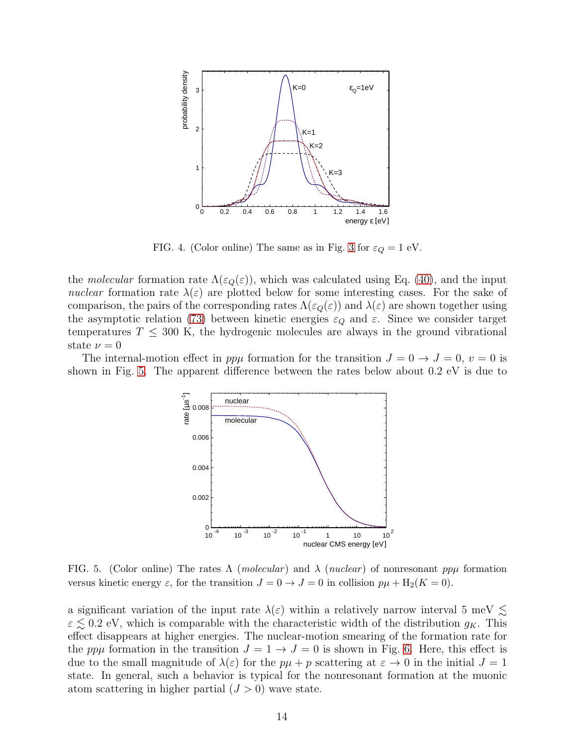

<span id="page-13-0"></span>FIG. 4. (Color online) The same as in Fig. [3](#page-12-1) for  $\varepsilon_Q = 1$  eV.

the molecular formation rate  $\Lambda(\varepsilon_0(\varepsilon))$ , which was calculated using Eq. [\(40\)](#page-7-3), and the input nuclear formation rate  $\lambda(\varepsilon)$  are plotted below for some interesting cases. For the sake of comparison, the pairs of the corresponding rates  $\Lambda(\varepsilon_0(\varepsilon))$  and  $\lambda(\varepsilon)$  are shown together using the asymptotic relation [\(73\)](#page-11-3) between kinetic energies  $\varepsilon_Q$  and  $\varepsilon$ . Since we consider target temperatures  $T \n\t\leq 300$  K, the hydrogenic molecules are always in the ground vibrational state  $\nu = 0$ 

The internal-motion effect in  $pp\mu$  formation for the transition  $J = 0 \rightarrow J = 0$ ,  $v = 0$  is shown in Fig. [5.](#page-13-1) The apparent difference between the rates below about 0.2 eV is due to



<span id="page-13-1"></span>FIG. 5. (Color online) The rates  $\Lambda$  (*molecular*) and  $\lambda$  (*nuclear*) of nonresonant pp $\mu$  formation versus kinetic energy  $\varepsilon$ , for the transition  $J = 0 \rightarrow J = 0$  in collision  $p\mu + H_2(K = 0)$ .

a significant variation of the input rate  $\lambda(\varepsilon)$  within a relatively narrow interval 5 meV  $\lesssim$  $\varepsilon \lesssim 0.2$  eV, which is comparable with the characteristic width of the distribution  $g_K$ . This effect disappears at higher energies. The nuclear-motion smearing of the formation rate for the ppu formation in the transition  $J = 1 \rightarrow J = 0$  is shown in Fig. [6.](#page-14-0) Here, this effect is due to the small magnitude of  $\lambda(\varepsilon)$  for the  $p\mu + p$  scattering at  $\varepsilon \to 0$  in the initial  $J = 1$ state. In general, such a behavior is typical for the nonresonant formation at the muonic atom scattering in higher partial  $(J > 0)$  wave state.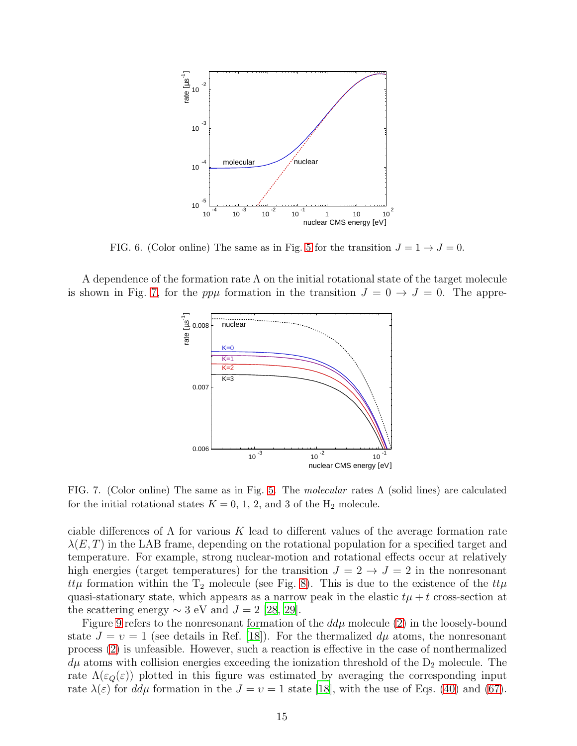

<span id="page-14-0"></span>FIG. 6. (Color online) The same as in Fig. [5](#page-13-1) for the transition  $J = 1 \rightarrow J = 0$ .

A dependence of the formation rate  $\Lambda$  on the initial rotational state of the target molecule is shown in Fig. [7,](#page-14-1) for the pp $\mu$  formation in the transition  $J = 0 \rightarrow J = 0$ . The appre-



<span id="page-14-1"></span>FIG. 7. (Color online) The same as in Fig. [5.](#page-13-1) The molecular rates  $\Lambda$  (solid lines) are calculated for the initial rotational states  $K = 0, 1, 2,$  and 3 of the  $H_2$  molecule.

ciable differences of  $\Lambda$  for various K lead to different values of the average formation rate  $\lambda(E,T)$  in the LAB frame, depending on the rotational population for a specified target and temperature. For example, strong nuclear-motion and rotational effects occur at relatively high energies (target temperatures) for the transition  $J = 2 \rightarrow J = 2$  in the nonresonant ttµ formation within the  $T_2$  molecule (see Fig. [8\)](#page-15-0). This is due to the existence of the  $tt\mu$ quasi-stationary state, which appears as a narrow peak in the elastic  $t\mu + t$  cross-section at the scattering energy  $\sim$  3 eV and  $J = 2$  [\[28,](#page-21-16) [29\]](#page-21-17).

Figure [9](#page-15-1) refers to the nonresonant formation of the  $dd\mu$  molecule [\(2\)](#page-1-2) in the loosely-bound state  $J = v = 1$  (see details in Ref. [\[18\]](#page-21-6)). For the thermalized  $d\mu$  atoms, the nonresonant process [\(2\)](#page-1-2) is unfeasible. However, such a reaction is effective in the case of nonthermalized  $d\mu$  atoms with collision energies exceeding the ionization threshold of the  $D_2$  molecule. The rate  $\Lambda(\varepsilon_Q(\varepsilon))$  plotted in this figure was estimated by averaging the corresponding input rate  $\lambda(\varepsilon)$  for  $dd\mu$  formation in the  $J = \nu = 1$  state [\[18\]](#page-21-6), with the use of Eqs. [\(40\)](#page-7-3) and [\(67\)](#page-10-4).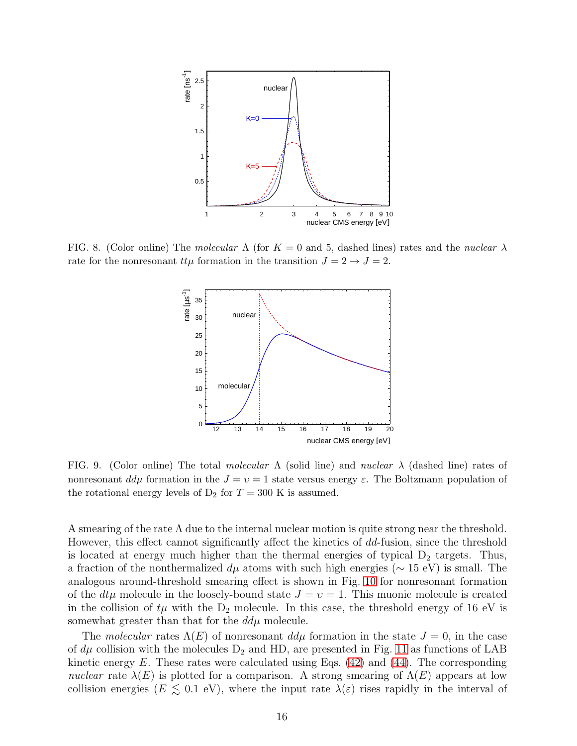

<span id="page-15-0"></span>FIG. 8. (Color online) The molecular  $\Lambda$  (for  $K = 0$  and 5, dashed lines) rates and the nuclear  $\lambda$ rate for the nonresonant  $tt\mu$  formation in the transition  $J = 2 \rightarrow J = 2$ .



<span id="page-15-1"></span>FIG. 9. (Color online) The total molecular  $\Lambda$  (solid line) and nuclear  $\lambda$  (dashed line) rates of nonresonant  $d\mu$  formation in the  $J = v = 1$  state versus energy  $\varepsilon$ . The Boltzmann population of the rotational energy levels of  $D_2$  for  $T = 300$  K is assumed.

A smearing of the rate  $\Lambda$  due to the internal nuclear motion is quite strong near the threshold. However, this effect cannot significantly affect the kinetics of dd-fusion, since the threshold is located at energy much higher than the thermal energies of typical  $D_2$  targets. Thus, a fraction of the nonthermalized  $d\mu$  atoms with such high energies ( $\sim 15$  eV) is small. The analogous around-threshold smearing effect is shown in Fig. [10](#page-16-0) for nonresonant formation of the  $dt\mu$  molecule in the loosely-bound state  $J = v = 1$ . This muonic molecule is created in the collision of  $t\mu$  with the  $D_2$  molecule. In this case, the threshold energy of 16 eV is somewhat greater than that for the  $dd\mu$  molecule.

The molecular rates  $\Lambda(E)$  of nonresonant  $dd\mu$  formation in the state  $J=0$ , in the case of  $d\mu$  collision with the molecules  $D_2$  and HD, are presented in Fig. [11](#page-16-1) as functions of LAB kinetic energy  $E$ . These rates were calculated using Eqs. [\(42\)](#page-7-5) and [\(44\)](#page-7-6). The corresponding nuclear rate  $\lambda(E)$  is plotted for a comparison. A strong smearing of  $\Lambda(E)$  appears at low collision energies ( $E \leq 0.1$  eV), where the input rate  $\lambda(\varepsilon)$  rises rapidly in the interval of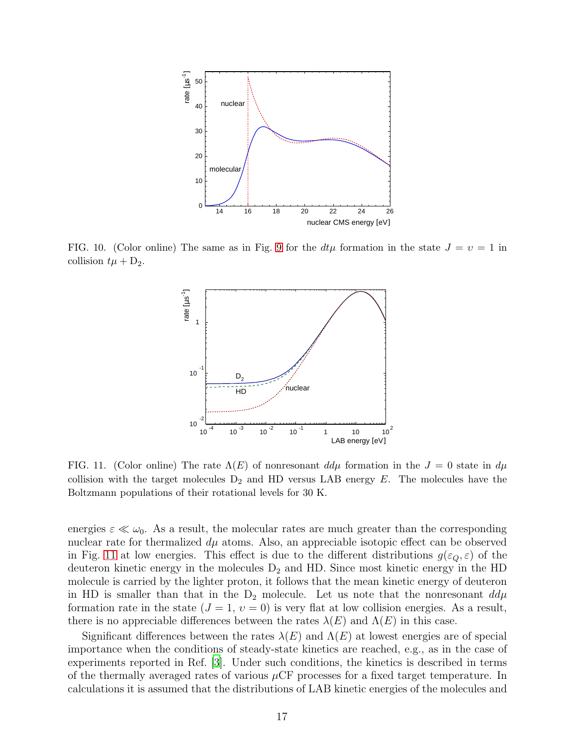

<span id="page-16-0"></span>FIG. 10. (Color online) The same as in Fig. [9](#page-15-1) for the  $dt\mu$  formation in the state  $J = v = 1$  in collision  $t\mu + D_2$ .



<span id="page-16-1"></span>FIG. 11. (Color online) The rate  $\Lambda(E)$  of nonresonant  $d\mu$  formation in the  $J=0$  state in  $d\mu$ collision with the target molecules  $D_2$  and HD versus LAB energy E. The molecules have the Boltzmann populations of their rotational levels for 30 K.

energies  $\varepsilon \ll \omega_0$ . As a result, the molecular rates are much greater than the corresponding nuclear rate for thermalized  $d\mu$  atoms. Also, an appreciable isotopic effect can be observed in Fig. [11](#page-16-1) at low energies. This effect is due to the different distributions  $g(\varepsilon_0, \varepsilon)$  of the deuteron kinetic energy in the molecules  $D_2$  and HD. Since most kinetic energy in the HD molecule is carried by the lighter proton, it follows that the mean kinetic energy of deuteron in HD is smaller than that in the  $D_2$  molecule. Let us note that the nonresonant  $dd\mu$ formation rate in the state  $(J = 1, v = 0)$  is very flat at low collision energies. As a result, there is no appreciable differences between the rates  $\lambda(E)$  and  $\Lambda(E)$  in this case.

Significant differences between the rates  $\lambda(E)$  and  $\Lambda(E)$  at lowest energies are of special importance when the conditions of steady-state kinetics are reached, e.g., as in the case of experiments reported in Ref. [\[3](#page-20-1)]. Under such conditions, the kinetics is described in terms of the thermally averaged rates of various  $\mu$ CF processes for a fixed target temperature. In calculations it is assumed that the distributions of LAB kinetic energies of the molecules and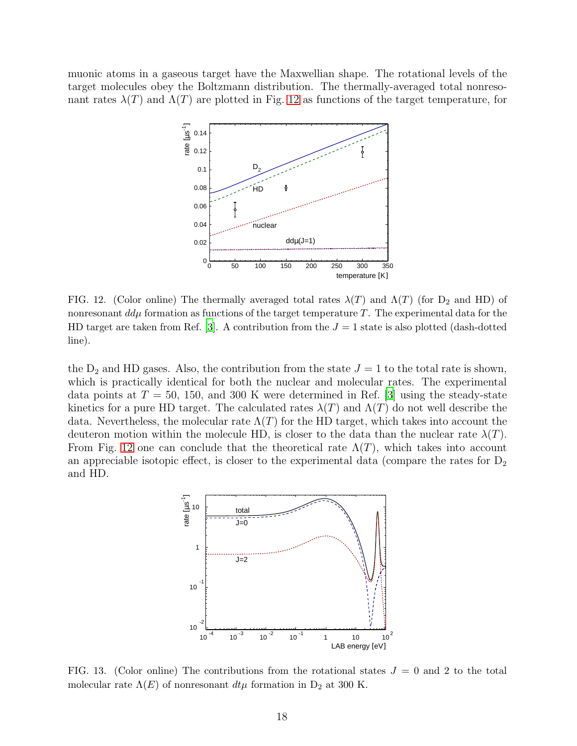muonic atoms in a gaseous target have the Maxwellian shape. The rotational levels of the target molecules obey the Boltzmann distribution. The thermally-averaged total nonresonant rates  $\lambda(T)$  and  $\Lambda(T)$  are plotted in Fig. [12](#page-17-0) as functions of the target temperature, for



<span id="page-17-0"></span>FIG. 12. (Color online) The thermally averaged total rates  $\lambda(T)$  and  $\Lambda(T)$  (for  $D_2$  and HD) of nonresonant  $d\mu$  formation as functions of the target temperature T. The experimental data for the HD target are taken from Ref. [\[3\]](#page-20-1). A contribution from the  $J = 1$  state is also plotted (dash-dotted line).

the  $D_2$  and HD gases. Also, the contribution from the state  $J = 1$  to the total rate is shown, which is practically identical for both the nuclear and molecular rates. The experimental data points at  $T = 50$ , 150, and 300 K were determined in Ref. [\[3](#page-20-1)] using the steady-state kinetics for a pure HD target. The calculated rates  $\lambda(T)$  and  $\Lambda(T)$  do not well describe the data. Nevertheless, the molecular rate  $\Lambda(T)$  for the HD target, which takes into account the deuteron motion within the molecule HD, is closer to the data than the nuclear rate  $\lambda(T)$ . From Fig. [12](#page-17-0) one can conclude that the theoretical rate  $\Lambda(T)$ , which takes into account an appreciable isotopic effect, is closer to the experimental data (compare the rates for  $D_2$ ) and HD.



<span id="page-17-1"></span>FIG. 13. (Color online) The contributions from the rotational states  $J = 0$  and 2 to the total molecular rate  $\Lambda(E)$  of nonresonant  $dt\mu$  formation in D<sub>2</sub> at 300 K.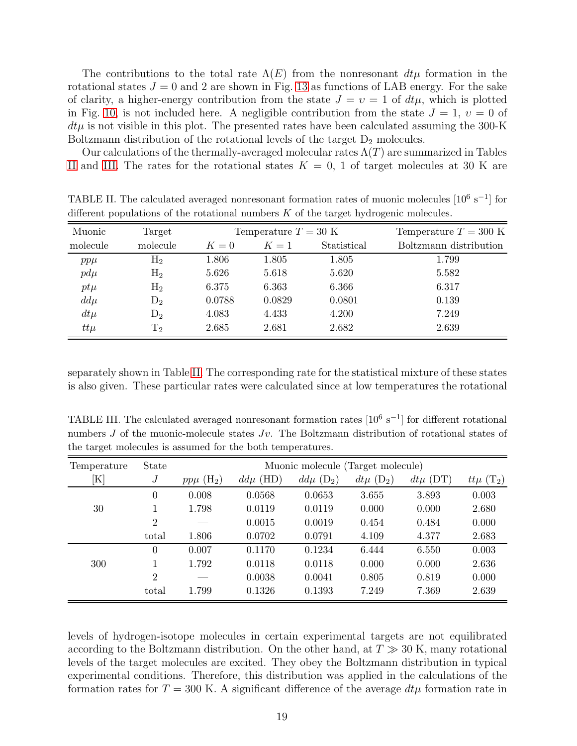The contributions to the total rate  $\Lambda(E)$  from the nonresonant  $dt\mu$  formation in the rotational states  $J = 0$  and 2 are shown in Fig. [13](#page-17-1) as functions of LAB energy. For the sake of clarity, a higher-energy contribution from the state  $J = v = 1$  of  $dt\mu$ , which is plotted in Fig. [10,](#page-16-0) is not included here. A negligible contribution from the state  $J = 1$ ,  $v = 0$  of  $dt\mu$  is not visible in this plot. The presented rates have been calculated assuming the 300-K Boltzmann distribution of the rotational levels of the target  $D_2$  molecules.

Our calculations of the thermally-averaged molecular rates  $\Lambda(T)$  are summarized in Tables [II](#page-18-0) and [III.](#page-18-1) The rates for the rotational states  $K = 0, 1$  of target molecules at 30 K are

| Muonic   | Target       | Temperature $T = 30$ K |        |             | Temperature $T = 300$ K |  |
|----------|--------------|------------------------|--------|-------------|-------------------------|--|
| molecule | molecule     | $K=0$                  | $K=1$  | Statistical | Boltzmann distribution  |  |
| $pp\mu$  | $\rm{H}_{2}$ | 1.806                  | 1.805  | 1.805       | 1.799                   |  |
| $pd\mu$  | $\rm{H}_{2}$ | 5.626                  | 5.618  | 5.620       | 5.582                   |  |
| $pt\mu$  | $\rm{H}_{2}$ | 6.375                  | 6.363  | 6.366       | 6.317                   |  |
| $dd\mu$  | $D_2$        | 0.0788                 | 0.0829 | 0.0801      | 0.139                   |  |
| $dt\mu$  | $D_2$        | 4.083                  | 4.433  | 4.200       | 7.249                   |  |
| $tt\mu$  | $\rm T_2$    | 2.685                  | 2.681  | 2.682       | 2.639                   |  |

<span id="page-18-0"></span>TABLE II. The calculated averaged nonresonant formation rates of muonic molecules  $[10^6 \text{ s}^{-1}]$  for different populations of the rotational numbers  $K$  of the target hydrogenic molecules.

separately shown in Table [II.](#page-18-0) The corresponding rate for the statistical mixture of these states is also given. These particular rates were calculated since at low temperatures the rotational

<span id="page-18-1"></span>TABLE III. The calculated averaged nonresonant formation rates  $[10^6 \text{ s}^{-1}]$  for different rotational numbers J of the muonic-molecule states  $Jv$ . The Boltzmann distribution of rotational states of the target molecules is assumed for the both temperatures.

| Temperature    | <b>State</b>   | Muonic molecule (Target molecule) |              |                           |                           |              |                           |
|----------------|----------------|-----------------------------------|--------------|---------------------------|---------------------------|--------------|---------------------------|
| $[\mathrm{K}]$ | $\overline{J}$ | $pp\mu$ (H <sub>2</sub> )         | $dd\mu$ (HD) | $dd\mu$ (D <sub>2</sub> ) | $dt\mu$ (D <sub>2</sub> ) | $dt\mu$ (DT) | $tt\mu$ (T <sub>2</sub> ) |
|                | $\overline{0}$ | 0.008                             | 0.0568       | 0.0653                    | 3.655                     | 3.893        | 0.003                     |
| 30             |                | 1.798                             | 0.0119       | 0.0119                    | 0.000                     | 0.000        | 2.680                     |
|                | $\overline{2}$ |                                   | 0.0015       | 0.0019                    | 0.454                     | 0.484        | 0.000                     |
|                | total          | 1.806                             | 0.0702       | 0.0791                    | 4.109                     | 4.377        | 2.683                     |
|                | $\overline{0}$ | 0.007                             | 0.1170       | 0.1234                    | 6.444                     | 6.550        | 0.003                     |
| 300            | 1              | 1.792                             | 0.0118       | 0.0118                    | 0.000                     | 0.000        | 2.636                     |
|                | 2              |                                   | 0.0038       | 0.0041                    | 0.805                     | 0.819        | 0.000                     |
|                | total          | 1.799                             | 0.1326       | 0.1393                    | 7.249                     | 7.369        | 2.639                     |

levels of hydrogen-isotope molecules in certain experimental targets are not equilibrated according to the Boltzmann distribution. On the other hand, at  $T \gg 30$  K, many rotational levels of the target molecules are excited. They obey the Boltzmann distribution in typical experimental conditions. Therefore, this distribution was applied in the calculations of the formation rates for  $T = 300$  K. A significant difference of the average  $dt\mu$  formation rate in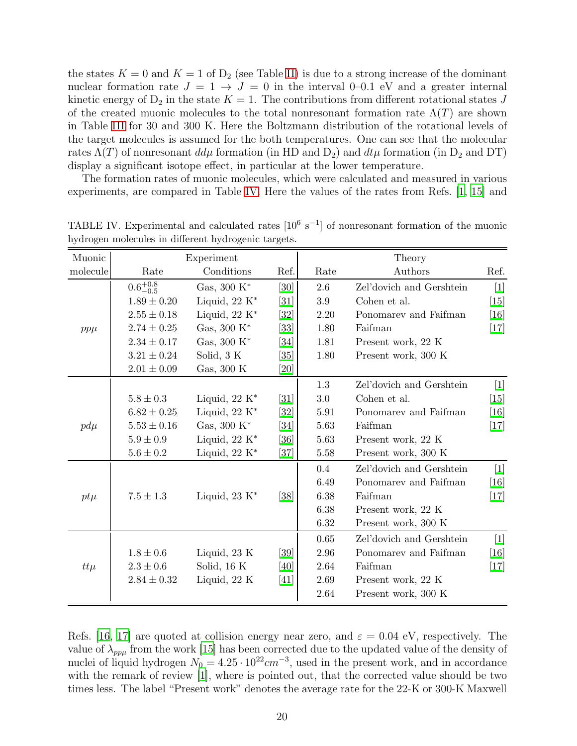the states  $K = 0$  and  $K = 1$  of  $D_2$  (see Table [II\)](#page-18-0) is due to a strong increase of the dominant nuclear formation rate  $J = 1 \rightarrow J = 0$  in the interval 0–0.1 eV and a greater internal kinetic energy of  $D_2$  in the state  $K = 1$ . The contributions from different rotational states J of the created muonic molecules to the total nonresonant formation rate  $\Lambda(T)$  are shown in Table [III](#page-18-1) for 30 and 300 K. Here the Boltzmann distribution of the rotational levels of the target molecules is assumed for the both temperatures. One can see that the molecular rates  $\Lambda(T)$  of nonresonant  $d\mu$  formation (in HD and  $D_2$ ) and  $d\mu$  formation (in D<sub>2</sub> and DT) display a significant isotope effect, in particular at the lower temperature.

The formation rates of muonic molecules, which were calculated and measured in various experiments, are compared in Table [IV.](#page-19-0) Here the values of the rates from Refs. [\[1,](#page-20-0) [15](#page-21-2)] and

| Muonic   | Experiment          |                         |                   | Theory   |                          |        |  |
|----------|---------------------|-------------------------|-------------------|----------|--------------------------|--------|--|
| molecule | Rate                | Conditions              | Ref.              | Rate     | Authors                  | Ref.   |  |
|          | $0.6^{+0.8}_{-0.5}$ | Gas, $300 K^*$          | [30]              | 2.6      | Zel'dovich and Gershtein | $[1]$  |  |
|          | $1.89 \pm 0.20$     | Liquid, $22 K^*$        | $\left[31\right]$ | 3.9      | Cohen et al.             | [15]   |  |
|          | $2.55 \pm 0.18$     | Liquid, $22 K^*$        | [32]              | 2.20     | Ponomarev and Faifman    | [16]   |  |
| $pp\mu$  | $2.74 \pm 0.25$     | Gas, 300 $\mathrm{K}^*$ | $[33]$            | 1.80     | Faifman                  | $[17]$ |  |
|          | $2.34 \pm 0.17$     | Gas, 300 $K^*$          | [34]              | 1.81     | Present work, 22 K       |        |  |
|          | $3.21 \pm 0.24$     | Solid, 3 K              | [35]              | 1.80     | Present work, 300 K      |        |  |
|          | $2.01\pm0.09$       | Gas, 300 K              | [20]              |          |                          |        |  |
|          |                     |                         |                   | 1.3      | Zel'dovich and Gershtein | $[1]$  |  |
|          | $5.8\pm0.3$         | Liquid, $22 K^*$        | [31]              | 3.0      | Cohen et al.             | $[15]$ |  |
|          | $6.82 \pm 0.25$     | Liquid, $22 K^*$        | $[32]$            | 5.91     | Ponomarev and Faifman    | [16]   |  |
| $pd\mu$  | $5.53\pm0.16$       | Gas, $300 K^*$          | [34]              | 5.63     | Faifman                  | $[17]$ |  |
|          | $5.9\pm0.9$         | Liquid, $22 K^*$        | [36]              | 5.63     | Present work, 22 K       |        |  |
|          | $5.6\pm0.2$         | Liquid, $22 K^*$        | [37]              | 5.58     | Present work, 300 K      |        |  |
|          |                     |                         |                   | 0.4      | Zel'dovich and Gershtein | $[1]$  |  |
|          |                     |                         |                   | 6.49     | Ponomarev and Faifman    | [16]   |  |
| $pt\mu$  | $7.5 \pm 1.3$       | Liquid, $23 K^*$        | [38]              | 6.38     | Faifman                  | $[17]$ |  |
|          |                     |                         |                   | 6.38     | Present work, 22 K       |        |  |
|          |                     |                         |                   | 6.32     | Present work, 300 K      |        |  |
|          |                     |                         |                   | 0.65     | Zel'dovich and Gershtein | $[1]$  |  |
|          | $1.8 \pm 0.6$       | Liquid, 23 K            | [39]              | 2.96     | Ponomarev and Faifman    | [16]   |  |
| $tt\mu$  | $2.3 \pm 0.6$       | Solid, 16 K             | [40]              | 2.64     | Faifman                  | $[17]$ |  |
|          | $2.84 \pm 0.32$     | Liquid, 22 K            | [41]              | 2.69     | Present work, 22 K       |        |  |
|          |                     |                         |                   | $2.64\,$ | Present work, 300 K      |        |  |

<span id="page-19-0"></span>TABLE IV. Experimental and calculated rates  $[10^6 \text{ s}^{-1}]$  of nonresonant formation of the muonic hydrogen molecules in different hydrogenic targets.

Refs. [\[16,](#page-21-3) [17\]](#page-21-4) are quoted at collision energy near zero, and  $\varepsilon = 0.04$  eV, respectively. The value of  $\lambda_{pp\mu}$  from the work [\[15\]](#page-21-2) has been corrected due to the updated value of the density of nuclei of liquid hydrogen  $N_0 = 4.25 \cdot 10^{22} cm^{-3}$ , used in the present work, and in accordance with the remark of review [\[1](#page-20-0)], where is pointed out, that the corrected value should be two times less. The label "Present work" denotes the average rate for the 22-K or 300-K Maxwell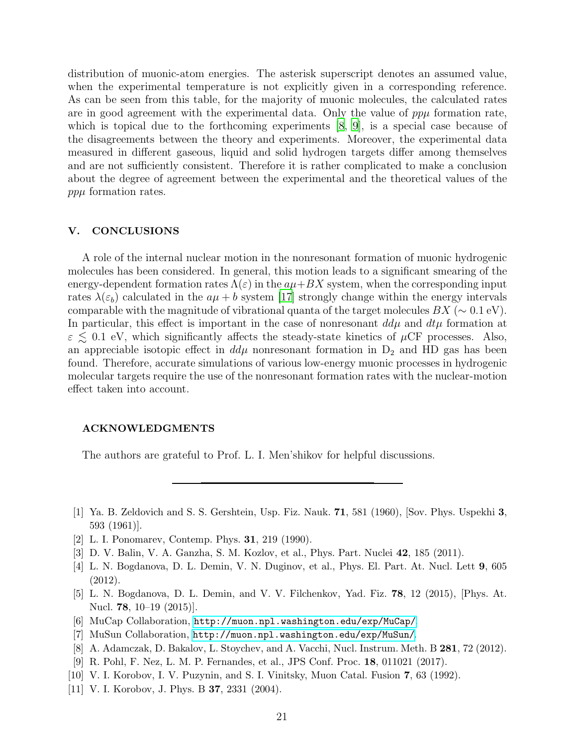distribution of muonic-atom energies. The asterisk superscript denotes an assumed value, when the experimental temperature is not explicitly given in a corresponding reference. As can be seen from this table, for the majority of muonic molecules, the calculated rates are in good agreement with the experimental data. Only the value of  $pp\mu$  formation rate, which is topical due to the forthcoming experiments  $[8, 9]$  $[8, 9]$  $[8, 9]$ , is a special case because of the disagreements between the theory and experiments. Moreover, the experimental data measured in different gaseous, liquid and solid hydrogen targets differ among themselves and are not sufficiently consistent. Therefore it is rather complicated to make a conclusion about the degree of agreement between the experimental and the theoretical values of the ppµ formation rates.

#### V. CONCLUSIONS

A role of the internal nuclear motion in the nonresonant formation of muonic hydrogenic molecules has been considered. In general, this motion leads to a significant smearing of the energy-dependent formation rates  $\Lambda(\varepsilon)$  in the  $a\mu+BX$  system, when the corresponding input rates  $\lambda(\varepsilon_b)$  calculated in the  $a\mu + b$  system [\[17\]](#page-21-4) strongly change within the energy intervals comparable with the magnitude of vibrational quanta of the target molecules  $BX \sim 0.1 \text{ eV}$ . In particular, this effect is important in the case of nonresonant  $dd\mu$  and  $dt\mu$  formation at  $\varepsilon \lesssim 0.1$  eV, which significantly affects the steady-state kinetics of  $\mu$ CF processes. Also, an appreciable isotopic effect in  $dd\mu$  nonresonant formation in  $D_2$  and HD gas has been found. Therefore, accurate simulations of various low-energy muonic processes in hydrogenic molecular targets require the use of the nonresonant formation rates with the nuclear-motion effect taken into account.

#### ACKNOWLEDGMENTS

The authors are grateful to Prof. L. I. Men'shikov for helpful discussions.

- <span id="page-20-0"></span>[1] Ya. B. Zeldovich and S. S. Gershtein, Usp. Fiz. Nauk. 71, 581 (1960), [Sov. Phys. Uspekhi 3, 593 (1961)].
- <span id="page-20-8"></span>[2] L. I. Ponomarev, Contemp. Phys. 31, 219 (1990).
- <span id="page-20-1"></span>[3] D. V. Balin, V. A. Ganzha, S. M. Kozlov, et al., Phys. Part. Nuclei 42, 185 (2011).
- <span id="page-20-2"></span>[4] L. N. Bogdanova, D. L. Demin, V. N. Duginov, et al., Phys. El. Part. At. Nucl. Lett 9, 605 (2012).
- <span id="page-20-3"></span>[5] L. N. Bogdanova, D. L. Demin, and V. V. Filchenkov, Yad. Fiz. 78, 12 (2015), [Phys. At. Nucl. **78**, 10–19 (2015)].
- <span id="page-20-4"></span>[6] MuCap Collaboration, <http://muon.npl.washington.edu/exp/MuCap/>.
- <span id="page-20-5"></span>[7] MuSun Collaboration, <http://muon.npl.washington.edu/exp/MuSun/>.
- <span id="page-20-6"></span>[8] A. Adamczak, D. Bakalov, L. Stoychev, and A. Vacchi, Nucl. Instrum. Meth. B 281, 72 (2012).
- <span id="page-20-7"></span>[9] R. Pohl, F. Nez, L. M. P. Fernandes, et al., JPS Conf. Proc. 18, 011021 (2017).
- <span id="page-20-9"></span>[10] V. I. Korobov, I. V. Puzynin, and S. I. Vinitsky, Muon Catal. Fusion 7, 63 (1992).
- <span id="page-20-10"></span>[11] V. I. Korobov, J. Phys. B **37**, 2331 (2004).